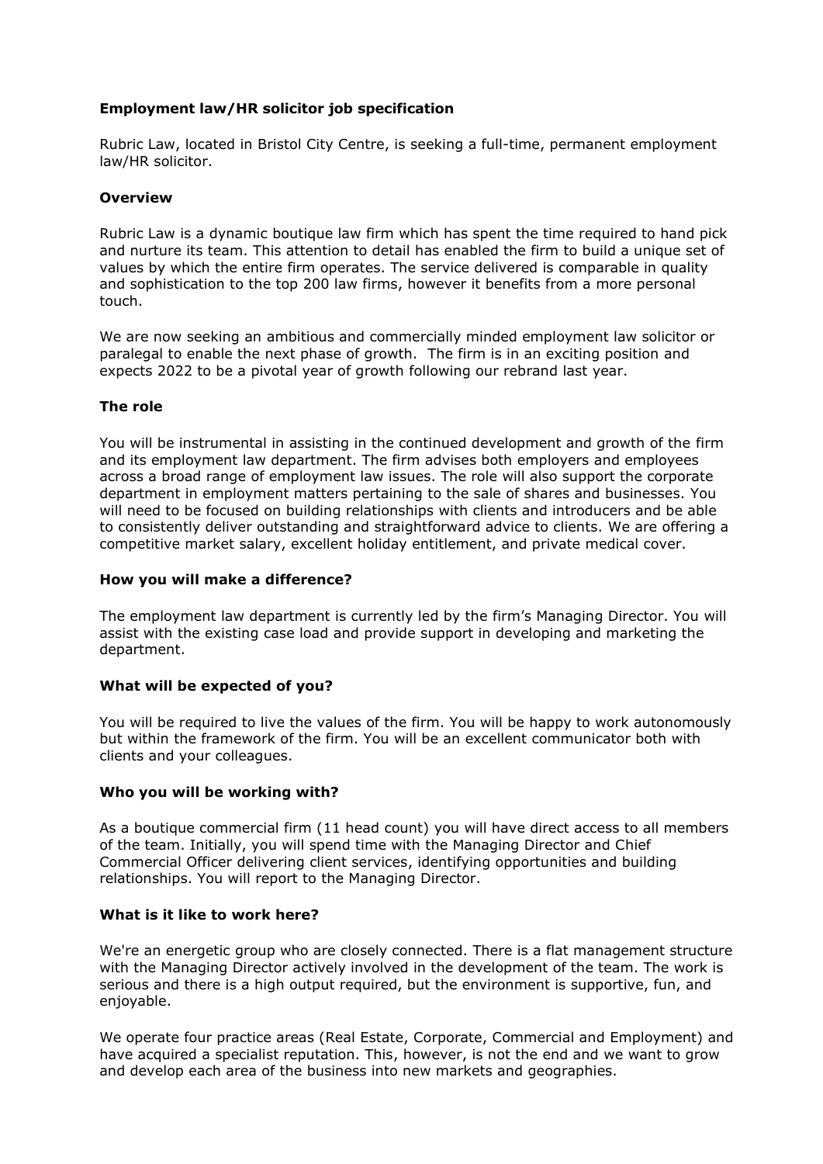# **Employment law/HR solicitor job specification**

Rubric Law, located in Bristol City Centre, is seeking a full-time, permanent employment law/HR solicitor.

# **Overview**

Rubric Law is a dynamic boutique law firm which has spent the time required to hand pick and nurture its team. This attention to detail has enabled the firm to build a unique set of values by which the entire firm operates. The service delivered is comparable in quality and sophistication to the top 200 law firms, however it benefits from a more personal touch.

We are now seeking an ambitious and commercially minded employment law solicitor or paralegal to enable the next phase of growth. The firm is in an exciting position and expects 2022 to be a pivotal year of growth following our rebrand last year.

# **The role**

You will be instrumental in assisting in the continued development and growth of the firm and its employment law department. The firm advises both employers and employees across a broad range of employment law issues. The role will also support the corporate department in employment matters pertaining to the sale of shares and businesses. You will need to be focused on building relationships with clients and introducers and be able to consistently deliver outstanding and straightforward advice to clients. We are offering a competitive market salary, excellent holiday entitlement, and private medical cover.

# **How you will make a difference?**

The employment law department is currently led by the firm's Managing Director. You will assist with the existing case load and provide support in developing and marketing the department.

# **What will be expected of you?**

You will be required to live the values of the firm. You will be happy to work autonomously but within the framework of the firm. You will be an excellent communicator both with clients and your colleagues.

# **Who you will be working with?**

As a boutique commercial firm (11 head count) you will have direct access to all members of the team. Initially, you will spend time with the Managing Director and Chief Commercial Officer delivering client services, identifying opportunities and building relationships. You will report to the Managing Director.

# **What is it like to work here?**

We're an energetic group who are closely connected. There is a flat management structure with the Managing Director actively involved in the development of the team. The work is serious and there is a high output required, but the environment is supportive, fun, and enjoyable.

We operate four practice areas (Real Estate, Corporate, Commercial and Employment) and have acquired a specialist reputation. This, however, is not the end and we want to grow and develop each area of the business into new markets and geographies.